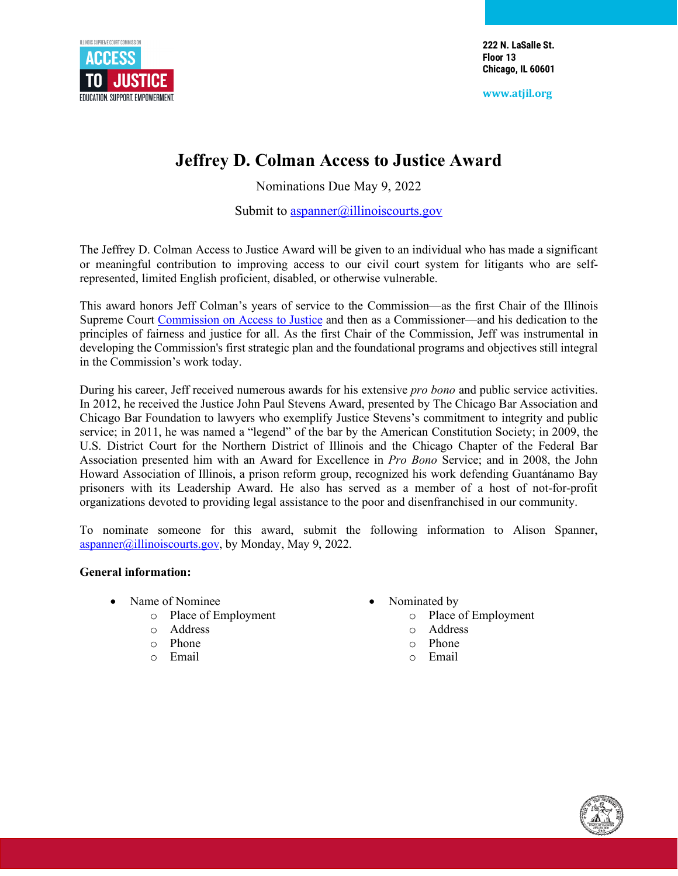

**222 N. LaSalle St. Floor 13 Chicago, IL 60601**

**www.atjil.org**

# **Jeffrey D. Colman Access to Justice Award**

Nominations Due May 9, 2022

Submit to  $\frac{aspanner(a)$ illinoiscourts.gov

The Jeffrey D. Colman Access to Justice Award will be given to an individual who has made a significant or meaningful contribution to improving access to our civil court system for litigants who are selfrepresented, limited English proficient, disabled, or otherwise vulnerable.

This award honors Jeff Colman's years of service to the Commission—as the first Chair of the Illinois Supreme Court [Commission](https://atjil.org/) on Access to Justice and then as a Commissioner—and his dedication to the principles of fairness and justice for all. As the first Chair of the Commission, Jeff was instrumental in developing the Commission's first strategic plan and the foundational programs and objectives still integral in the Commission's work today.

During his career, Jeff received numerous awards for his extensive *pro bono* and public service activities. In 2012, he received the Justice John Paul Stevens Award, presented by The Chicago Bar Association and Chicago Bar Foundation to lawyers who exemplify Justice Stevens's commitment to integrity and public service; in 2011, he was named a "legend" of the bar by the American Constitution Society; in 2009, the U.S. District Court for the Northern District of Illinois and the Chicago Chapter of the Federal Bar Association presented him with an Award for Excellence in *Pro Bono* Service; and in 2008, the John Howard Association of Illinois, a prison reform group, recognized his work defending Guantánamo Bay prisoners with its Leadership Award. He also has served as a member of a host of not-for-profit organizations devoted to providing legal assistance to the poor and disenfranchised in our community.

To nominate someone for this award, submit the following information to Alison Spanner,  $aspanner(\hat{\omega}$ illinoiscourts.gov, by Monday, May 9, 2022.

## **General information:**

- Name of Nominee
	- o Place of Employment
	- o Address
	- o Phone
	- Email
- Nominated by
	- o Place of Employment
		- o Address
		- o Phone
		- Email